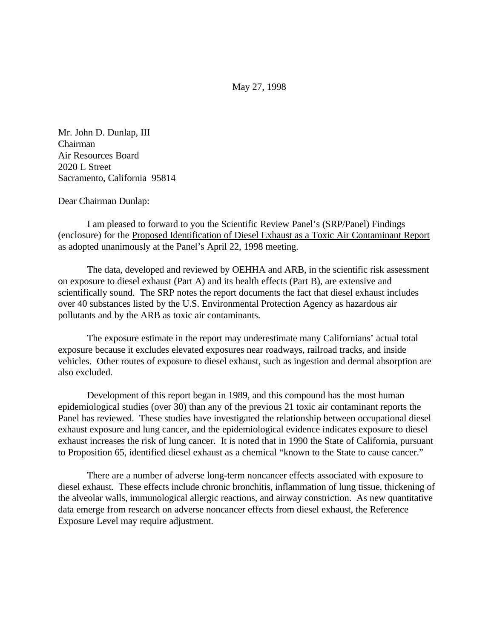May 27, 1998

Mr. John D. Dunlap, III Chairman Air Resources Board 2020 L Street Sacramento, California 95814

Dear Chairman Dunlap:

I am pleased to forward to you the Scientific Review Panel's (SRP/Panel) Findings (enclosure) for the Proposed Identification of Diesel Exhaust as a Toxic Air Contaminant Report as adopted unanimously at the Panel's April 22, 1998 meeting.

The data, developed and reviewed by OEHHA and ARB, in the scientific risk assessment on exposure to diesel exhaust (Part A) and its health effects (Part B), are extensive and scientifically sound. The SRP notes the report documents the fact that diesel exhaust includes over 40 substances listed by the U.S. Environmental Protection Agency as hazardous air pollutants and by the ARB as toxic air contaminants.

The exposure estimate in the report may underestimate many Californians' actual total exposure because it excludes elevated exposures near roadways, railroad tracks, and inside vehicles. Other routes of exposure to diesel exhaust, such as ingestion and dermal absorption are also excluded.

Development of this report began in 1989, and this compound has the most human epidemiological studies (over 30) than any of the previous 21 toxic air contaminant reports the Panel has reviewed. These studies have investigated the relationship between occupational diesel exhaust exposure and lung cancer, and the epidemiological evidence indicates exposure to diesel exhaust increases the risk of lung cancer. It is noted that in 1990 the State of California, pursuant to Proposition 65, identified diesel exhaust as a chemical "known to the State to cause cancer."

There are a number of adverse long-term noncancer effects associated with exposure to diesel exhaust. These effects include chronic bronchitis, inflammation of lung tissue, thickening of the alveolar walls, immunological allergic reactions, and airway constriction. As new quantitative data emerge from research on adverse noncancer effects from diesel exhaust, the Reference Exposure Level may require adjustment.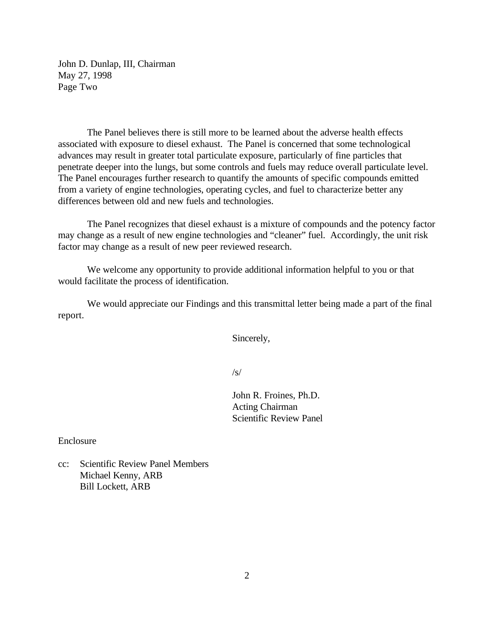John D. Dunlap, III, Chairman May 27, 1998 Page Two

The Panel believes there is still more to be learned about the adverse health effects associated with exposure to diesel exhaust. The Panel is concerned that some technological advances may result in greater total particulate exposure, particularly of fine particles that penetrate deeper into the lungs, but some controls and fuels may reduce overall particulate level. The Panel encourages further research to quantify the amounts of specific compounds emitted from a variety of engine technologies, operating cycles, and fuel to characterize better any differences between old and new fuels and technologies.

The Panel recognizes that diesel exhaust is a mixture of compounds and the potency factor may change as a result of new engine technologies and "cleaner" fuel. Accordingly, the unit risk factor may change as a result of new peer reviewed research.

We welcome any opportunity to provide additional information helpful to you or that would facilitate the process of identification.

We would appreciate our Findings and this transmittal letter being made a part of the final report.

Sincerely,

/s/

John R. Froines, Ph.D. Acting Chairman Scientific Review Panel

Enclosure

cc: Scientific Review Panel Members Michael Kenny, ARB Bill Lockett, ARB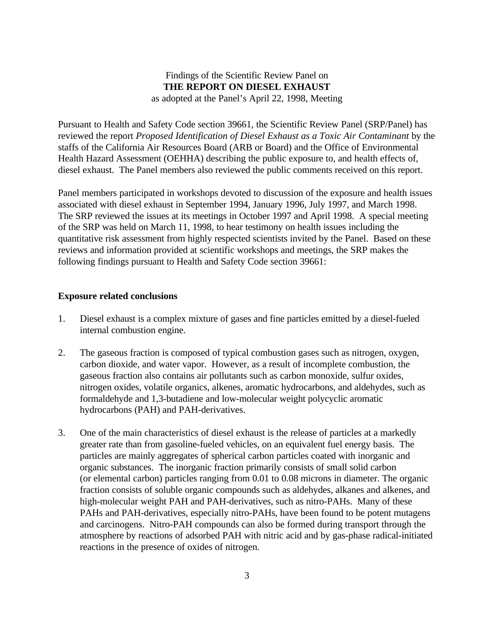#### Findings of the Scientific Review Panel on **THE REPORT ON DIESEL EXHAUST** as adopted at the Panel's April 22, 1998, Meeting

Pursuant to Health and Safety Code section 39661, the Scientific Review Panel (SRP/Panel) has reviewed the report *Proposed Identification of Diesel Exhaust as a Toxic Air Contaminant* by the staffs of the California Air Resources Board (ARB or Board) and the Office of Environmental Health Hazard Assessment (OEHHA) describing the public exposure to, and health effects of, diesel exhaust. The Panel members also reviewed the public comments received on this report.

Panel members participated in workshops devoted to discussion of the exposure and health issues associated with diesel exhaust in September 1994, January 1996, July 1997, and March 1998. The SRP reviewed the issues at its meetings in October 1997 and April 1998. A special meeting of the SRP was held on March 11, 1998, to hear testimony on health issues including the quantitative risk assessment from highly respected scientists invited by the Panel. Based on these reviews and information provided at scientific workshops and meetings, the SRP makes the following findings pursuant to Health and Safety Code section 39661:

#### **Exposure related conclusions**

- 1. Diesel exhaust is a complex mixture of gases and fine particles emitted by a diesel-fueled internal combustion engine.
- 2. The gaseous fraction is composed of typical combustion gases such as nitrogen, oxygen, carbon dioxide, and water vapor. However, as a result of incomplete combustion, the gaseous fraction also contains air pollutants such as carbon monoxide, sulfur oxides, nitrogen oxides, volatile organics, alkenes, aromatic hydrocarbons, and aldehydes, such as formaldehyde and 1,3-butadiene and low-molecular weight polycyclic aromatic hydrocarbons (PAH) and PAH-derivatives.
- 3. One of the main characteristics of diesel exhaust is the release of particles at a markedly greater rate than from gasoline-fueled vehicles, on an equivalent fuel energy basis. The particles are mainly aggregates of spherical carbon particles coated with inorganic and organic substances. The inorganic fraction primarily consists of small solid carbon (or elemental carbon) particles ranging from 0.01 to 0.08 microns in diameter. The organic fraction consists of soluble organic compounds such as aldehydes, alkanes and alkenes, and high-molecular weight PAH and PAH-derivatives, such as nitro-PAHs. Many of these PAHs and PAH-derivatives, especially nitro-PAHs, have been found to be potent mutagens and carcinogens. Nitro-PAH compounds can also be formed during transport through the atmosphere by reactions of adsorbed PAH with nitric acid and by gas-phase radical-initiated reactions in the presence of oxides of nitrogen.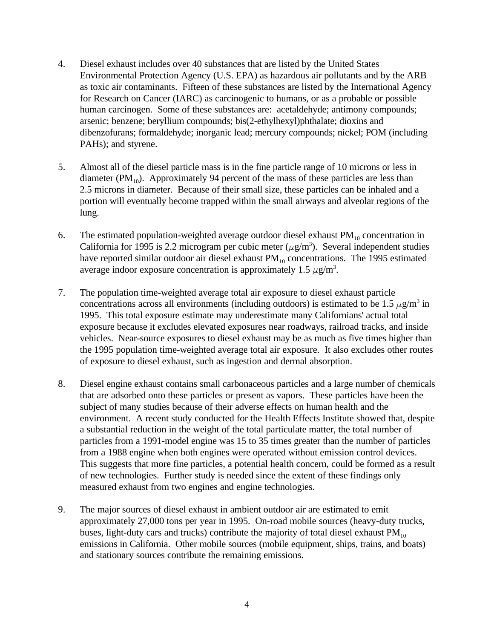- 4. Diesel exhaust includes over 40 substances that are listed by the United States Environmental Protection Agency (U.S. EPA) as hazardous air pollutants and by the ARB as toxic air contaminants. Fifteen of these substances are listed by the International Agency for Research on Cancer (IARC) as carcinogenic to humans, or as a probable or possible human carcinogen. Some of these substances are: acetaldehyde; antimony compounds; arsenic; benzene; beryllium compounds; bis(2-ethylhexyl)phthalate; dioxins and dibenzofurans; formaldehyde; inorganic lead; mercury compounds; nickel; POM (including PAHs); and styrene.
- 5. Almost all of the diesel particle mass is in the fine particle range of 10 microns or less in diameter ( $PM_{10}$ ). Approximately 94 percent of the mass of these particles are less than 2.5 microns in diameter. Because of their small size, these particles can be inhaled and a portion will eventually become trapped within the small airways and alveolar regions of the lung.
- 6. The estimated population-weighted average outdoor diesel exhaust  $PM_{10}$  concentration in California for 1995 is 2.2 microgram per cubic meter ( $\mu$ g/m<sup>3</sup>). Several independent studies have reported similar outdoor air diesel exhaust  $PM_{10}$  concentrations. The 1995 estimated average indoor exposure concentration is approximately 1.5  $\mu$ g/m<sup>3</sup>.
- 7. The population time-weighted average total air exposure to diesel exhaust particle concentrations across all environments (including outdoors) is estimated to be 1.5  $\mu$ g/m<sup>3</sup> in 1995. This total exposure estimate may underestimate many Californians' actual total exposure because it excludes elevated exposures near roadways, railroad tracks, and inside vehicles. Near-source exposures to diesel exhaust may be as much as five times higher than the 1995 population time-weighted average total air exposure. It also excludes other routes of exposure to diesel exhaust, such as ingestion and dermal absorption.
- 8. Diesel engine exhaust contains small carbonaceous particles and a large number of chemicals that are adsorbed onto these particles or present as vapors. These particles have been the subject of many studies because of their adverse effects on human health and the environment. A recent study conducted for the Health Effects Institute showed that, despite a substantial reduction in the weight of the total particulate matter, the total number of particles from a 1991-model engine was 15 to 35 times greater than the number of particles from a 1988 engine when both engines were operated without emission control devices. This suggests that more fine particles, a potential health concern, could be formed as a result of new technologies. Further study is needed since the extent of these findings only measured exhaust from two engines and engine technologies.
- 9. The major sources of diesel exhaust in ambient outdoor air are estimated to emit approximately 27,000 tons per year in 1995. On-road mobile sources (heavy-duty trucks, buses, light-duty cars and trucks) contribute the majority of total diesel exhaust  $PM_{10}$ emissions in California. Other mobile sources (mobile equipment, ships, trains, and boats) and stationary sources contribute the remaining emissions.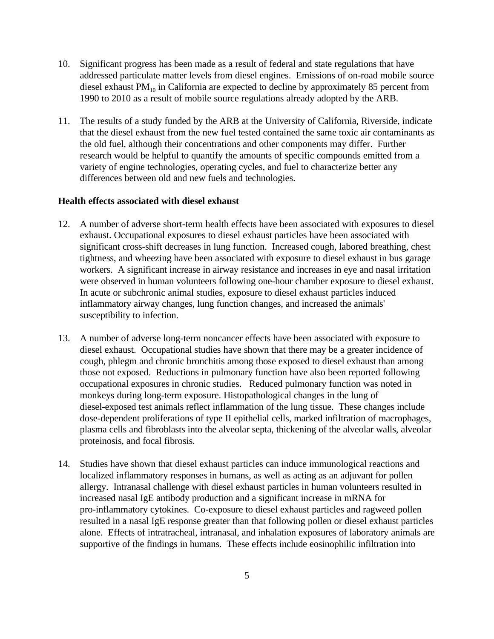- 10. Significant progress has been made as a result of federal and state regulations that have addressed particulate matter levels from diesel engines. Emissions of on-road mobile source diesel exhaust  $PM_{10}$  in California are expected to decline by approximately 85 percent from 1990 to 2010 as a result of mobile source regulations already adopted by the ARB.
- 11. The results of a study funded by the ARB at the University of California, Riverside, indicate that the diesel exhaust from the new fuel tested contained the same toxic air contaminants as the old fuel, although their concentrations and other components may differ. Further research would be helpful to quantify the amounts of specific compounds emitted from a variety of engine technologies, operating cycles, and fuel to characterize better any differences between old and new fuels and technologies.

#### **Health effects associated with diesel exhaust**

- 12. A number of adverse short-term health effects have been associated with exposures to diesel exhaust. Occupational exposures to diesel exhaust particles have been associated with significant cross-shift decreases in lung function. Increased cough, labored breathing, chest tightness, and wheezing have been associated with exposure to diesel exhaust in bus garage workers. A significant increase in airway resistance and increases in eye and nasal irritation were observed in human volunteers following one-hour chamber exposure to diesel exhaust. In acute or subchronic animal studies, exposure to diesel exhaust particles induced inflammatory airway changes, lung function changes, and increased the animals' susceptibility to infection.
- 13. A number of adverse long-term noncancer effects have been associated with exposure to diesel exhaust. Occupational studies have shown that there may be a greater incidence of cough, phlegm and chronic bronchitis among those exposed to diesel exhaust than among those not exposed. Reductions in pulmonary function have also been reported following occupational exposures in chronic studies. Reduced pulmonary function was noted in monkeys during long-term exposure. Histopathological changes in the lung of diesel-exposed test animals reflect inflammation of the lung tissue. These changes include dose-dependent proliferations of type II epithelial cells, marked infiltration of macrophages, plasma cells and fibroblasts into the alveolar septa, thickening of the alveolar walls, alveolar proteinosis, and focal fibrosis.
- 14. Studies have shown that diesel exhaust particles can induce immunological reactions and localized inflammatory responses in humans, as well as acting as an adjuvant for pollen allergy. Intranasal challenge with diesel exhaust particles in human volunteers resulted in increased nasal IgE antibody production and a significant increase in mRNA for pro-inflammatory cytokines. Co-exposure to diesel exhaust particles and ragweed pollen resulted in a nasal IgE response greater than that following pollen or diesel exhaust particles alone. Effects of intratracheal, intranasal, and inhalation exposures of laboratory animals are supportive of the findings in humans. These effects include eosinophilic infiltration into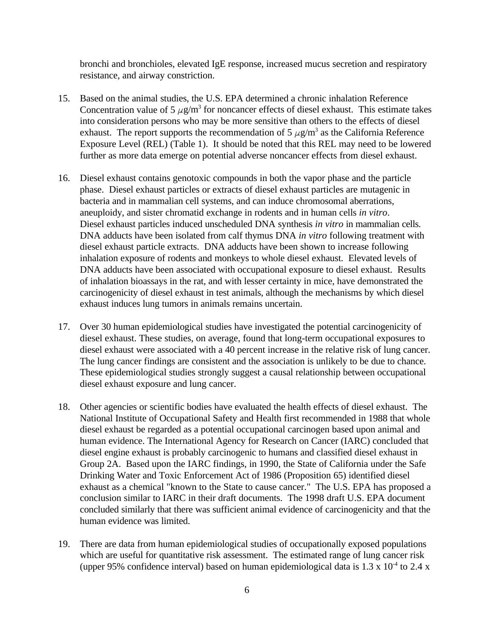bronchi and bronchioles, elevated IgE response, increased mucus secretion and respiratory resistance, and airway constriction.

- 15. Based on the animal studies, the U.S. EPA determined a chronic inhalation Reference Concentration value of 5  $\mu$ g/m<sup>3</sup> for noncancer effects of diesel exhaust. This estimate takes into consideration persons who may be more sensitive than others to the effects of diesel exhaust. The report supports the recommendation of 5  $\mu$ g/m<sup>3</sup> as the California Reference Exposure Level (REL) (Table 1). It should be noted that this REL may need to be lowered further as more data emerge on potential adverse noncancer effects from diesel exhaust.
- 16. Diesel exhaust contains genotoxic compounds in both the vapor phase and the particle phase. Diesel exhaust particles or extracts of diesel exhaust particles are mutagenic in bacteria and in mammalian cell systems, and can induce chromosomal aberrations, aneuploidy, and sister chromatid exchange in rodents and in human cells *in vitro*. Diesel exhaust particles induced unscheduled DNA synthesis *in vitro* in mammalian cells. DNA adducts have been isolated from calf thymus DNA *in vitro* following treatment with diesel exhaust particle extracts. DNA adducts have been shown to increase following inhalation exposure of rodents and monkeys to whole diesel exhaust. Elevated levels of DNA adducts have been associated with occupational exposure to diesel exhaust. Results of inhalation bioassays in the rat, and with lesser certainty in mice, have demonstrated the carcinogenicity of diesel exhaust in test animals, although the mechanisms by which diesel exhaust induces lung tumors in animals remains uncertain.
- 17. Over 30 human epidemiological studies have investigated the potential carcinogenicity of diesel exhaust. These studies, on average, found that long-term occupational exposures to diesel exhaust were associated with a 40 percent increase in the relative risk of lung cancer. The lung cancer findings are consistent and the association is unlikely to be due to chance. These epidemiological studies strongly suggest a causal relationship between occupational diesel exhaust exposure and lung cancer.
- 18. Other agencies or scientific bodies have evaluated the health effects of diesel exhaust. The National Institute of Occupational Safety and Health first recommended in 1988 that whole diesel exhaust be regarded as a potential occupational carcinogen based upon animal and human evidence. The International Agency for Research on Cancer (IARC) concluded that diesel engine exhaust is probably carcinogenic to humans and classified diesel exhaust in Group 2A. Based upon the IARC findings, in 1990, the State of California under the Safe Drinking Water and Toxic Enforcement Act of 1986 (Proposition 65) identified diesel exhaust as a chemical "known to the State to cause cancer." The U.S. EPA has proposed a conclusion similar to IARC in their draft documents. The 1998 draft U.S. EPA document concluded similarly that there was sufficient animal evidence of carcinogenicity and that the human evidence was limited.
- 19. There are data from human epidemiological studies of occupationally exposed populations which are useful for quantitative risk assessment. The estimated range of lung cancer risk (upper 95% confidence interval) based on human epidemiological data is  $1.3 \times 10^{-4}$  to  $2.4 \times 10^{-4}$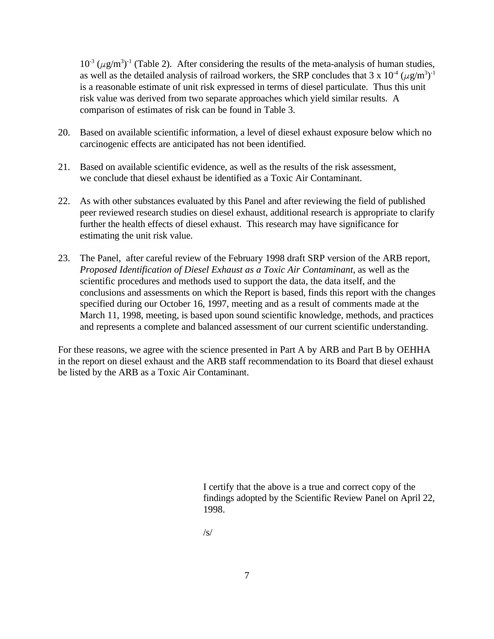$10^{-3}$  ( $\mu$ g/m<sup>3</sup>)<sup>-1</sup> (Table 2). After considering the results of the meta-analysis of human studies, as well as the detailed analysis of railroad workers, the SRP concludes that 3 x  $10^{4}$  ( $\mu$ g/m<sup>3</sup>)<sup>-1</sup> is a reasonable estimate of unit risk expressed in terms of diesel particulate. Thus this unit risk value was derived from two separate approaches which yield similar results. A comparison of estimates of risk can be found in Table 3.

- 20. Based on available scientific information, a level of diesel exhaust exposure below which no carcinogenic effects are anticipated has not been identified.
- 21. Based on available scientific evidence, as well as the results of the risk assessment, we conclude that diesel exhaust be identified as a Toxic Air Contaminant.
- 22. As with other substances evaluated by this Panel and after reviewing the field of published peer reviewed research studies on diesel exhaust, additional research is appropriate to clarify further the health effects of diesel exhaust. This research may have significance for estimating the unit risk value.
- 23. The Panel, after careful review of the February 1998 draft SRP version of the ARB report, *Proposed Identification of Diesel Exhaust as a Toxic Air Contaminant*, as well as the scientific procedures and methods used to support the data, the data itself, and the conclusions and assessments on which the Report is based, finds this report with the changes specified during our October 16, 1997, meeting and as a result of comments made at the March 11, 1998, meeting, is based upon sound scientific knowledge, methods, and practices and represents a complete and balanced assessment of our current scientific understanding.

For these reasons, we agree with the science presented in Part A by ARB and Part B by OEHHA in the report on diesel exhaust and the ARB staff recommendation to its Board that diesel exhaust be listed by the ARB as a Toxic Air Contaminant.

> I certify that the above is a true and correct copy of the findings adopted by the Scientific Review Panel on April 22, 1998.

/s/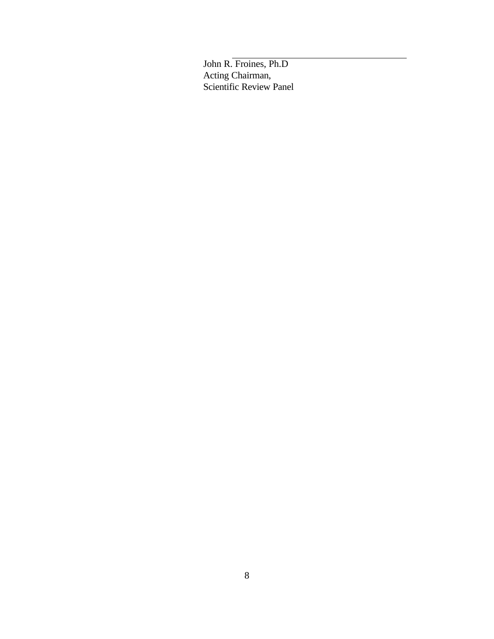John R. Froines, Ph.D Acting Chairman, Scientific Review Panel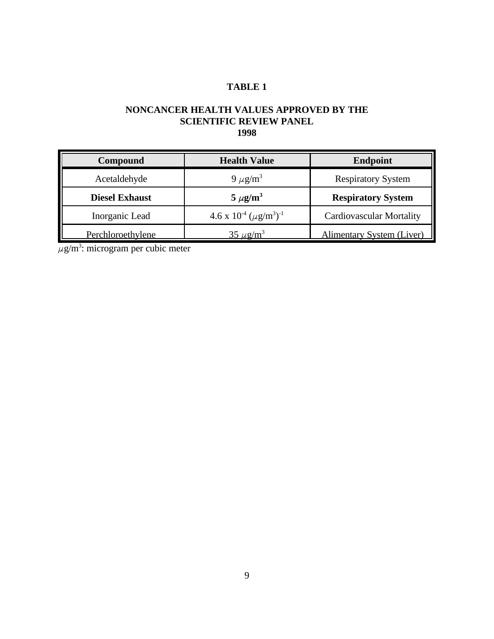# **TABLE 1**

### **NONCANCER HEALTH VALUES APPROVED BY THE SCIENTIFIC REVIEW PANEL 1998**

| Compound              | Endpoint<br><b>Health Value</b>                         |                                  |
|-----------------------|---------------------------------------------------------|----------------------------------|
| Acetaldehyde          | 9 $\mu$ g/m <sup>3</sup>                                | <b>Respiratory System</b>        |
| <b>Diesel Exhaust</b> | $5 \mu g/m^3$                                           | <b>Respiratory System</b>        |
| Inorganic Lead        | 4.6 x $10^{4}$ ( $\mu$ g/m <sup>3</sup> ) <sup>-1</sup> | <b>Cardiovascular Mortality</b>  |
| Perchloroethylene     | $35 \mu$ g/m <sup>3</sup>                               | <b>Alimentary System (Liver)</b> |

 $\mu$ g/m<sup>3</sup>: microgram per cubic meter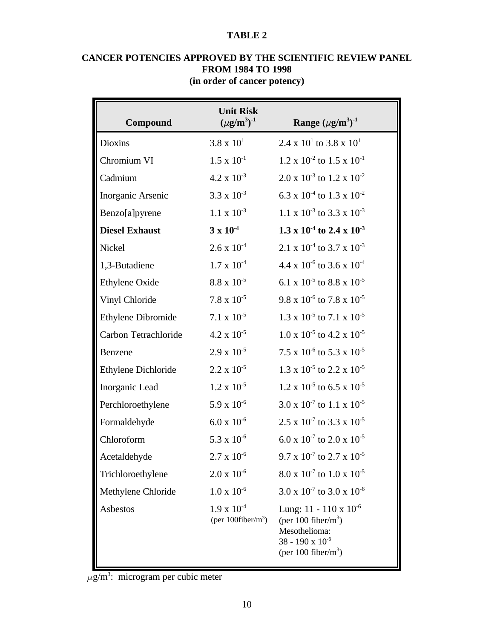#### **TABLE 2**

| Compound              | <b>Unit Risk</b><br>$(\mu g/m^3)^{-1}$         | Range $(\mu g/m^3)^{-1}$                                                                                                              |
|-----------------------|------------------------------------------------|---------------------------------------------------------------------------------------------------------------------------------------|
| <b>Dioxins</b>        | $3.8 \times 10^{1}$                            | $2.4 \times 10^{1}$ to $3.8 \times 10^{1}$                                                                                            |
| Chromium VI           | $1.5 \times 10^{-1}$                           | $1.2 \times 10^{-2}$ to $1.5 \times 10^{-1}$                                                                                          |
| Cadmium               | $4.2 \times 10^{-3}$                           | $2.0 \times 10^{-3}$ to $1.2 \times 10^{-2}$                                                                                          |
| Inorganic Arsenic     | $3.3 \times 10^{-3}$                           | 6.3 x 10 <sup>-4</sup> to 1.3 x 10 <sup>-2</sup>                                                                                      |
| Benzo[a]pyrene        | $1.1 \times 10^{-3}$                           | 1.1 x $10^{-3}$ to 3.3 x $10^{-3}$                                                                                                    |
| <b>Diesel Exhaust</b> | $3 \times 10^{-4}$                             | 1.3 x 10 <sup>-4</sup> to 2.4 x 10 <sup>-3</sup>                                                                                      |
| Nickel                | $2.6 \times 10^{-4}$                           | 2.1 x $10^{-4}$ to 3.7 x $10^{-3}$                                                                                                    |
| 1,3-Butadiene         | $1.7 \times 10^{-4}$                           | 4.4 x 10 <sup>-6</sup> to 3.6 x 10 <sup>-4</sup>                                                                                      |
| Ethylene Oxide        | $8.8 \times 10^{-5}$                           | 6.1 x 10 <sup>-5</sup> to 8.8 x 10 <sup>-5</sup>                                                                                      |
| Vinyl Chloride        | $7.8 \times 10^{-5}$                           | $9.8 \times 10^{5}$ to $7.8 \times 10^{5}$                                                                                            |
| Ethylene Dibromide    | $7.1 \times 10^{-5}$                           | $1.3 \times 10^{-5}$ to $7.1 \times 10^{-5}$                                                                                          |
| Carbon Tetrachloride  | $4.2 \times 10^{-5}$                           | $1.0 \times 10^{-5}$ to $4.2 \times 10^{-5}$                                                                                          |
| Benzene               | $2.9 \times 10^{-5}$                           | 7.5 x 10 <sup>-6</sup> to 5.3 x 10 <sup>-5</sup>                                                                                      |
| Ethylene Dichloride   | $2.2 \times 10^{-5}$                           | $1.3 \times 10^{-5}$ to $2.2 \times 10^{-5}$                                                                                          |
| Inorganic Lead        | $1.2 \times 10^{-5}$                           | $1.2 \times 10^{-5}$ to 6.5 x $10^{-5}$                                                                                               |
| Perchloroethylene     | $5.9 \times 10^{-6}$                           | $3.0 \times 10^{-7}$ to 1.1 x 10 <sup>-5</sup>                                                                                        |
| Formaldehyde          | $6.0 \times 10^{-6}$                           | $2.5 \times 10^{-7}$ to $3.3 \times 10^{-5}$                                                                                          |
| Chloroform            | 5.3 x $10^{-6}$                                | $6.0 \times 10^{-7}$ to 2.0 x 10 <sup>-5</sup>                                                                                        |
| Acetaldehyde          | $2.7 \times 10^{-6}$                           | $9.7 \times 10^{-7}$ to 2.7 x $10^{-5}$                                                                                               |
| Trichloroethylene     | $2.0 \times 10^{-6}$                           | $8.0 \times 10^{-7}$ to $1.0 \times 10^{-5}$                                                                                          |
| Methylene Chloride    | $1.0 \times 10^{-6}$                           | $3.0 \times 10^{-7}$ to $3.0 \times 10^{-6}$                                                                                          |
| Asbestos              | $1.9 \times 10^{-4}$<br>(per 100fiber/ $m^3$ ) | Lung: $11 - 110 \times 10^{-6}$<br>(per 100 fiber/ $m3$ )<br>Mesothelioma:<br>38 - 190 x $10^{-6}$<br>(per 100 fiber/m <sup>3</sup> ) |

### **CANCER POTENCIES APPROVED BY THE SCIENTIFIC REVIEW PANEL FROM 1984 TO 1998 (in order of cancer potency)**

 $\mu$ g/m<sup>3</sup>: microgram per cubic meter